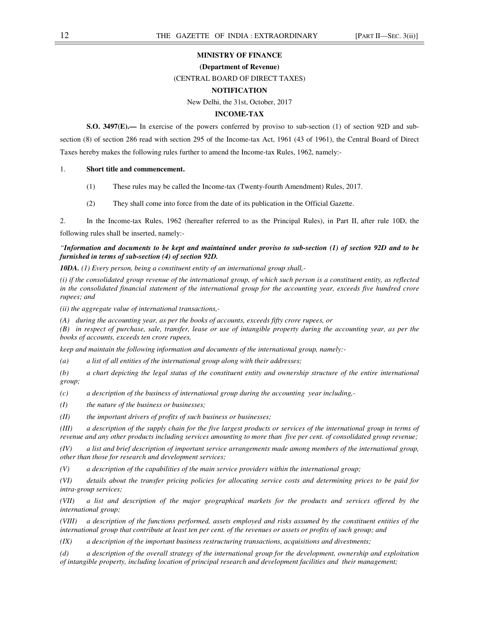### **MINISTRY OF FINANCE**

#### **(Department of Revenue)**

#### (CENTRAL BOARD OF DIRECT TAXES)

# **NOTIFICATION**

# New Delhi, the 31st, October, 2017

#### **INCOME-TAX**

**S.O. 3497(E).**— In exercise of the powers conferred by proviso to sub-section (1) of section 92D and subsection (8) of section 286 read with section 295 of the Income-tax Act, 1961 (43 of 1961), the Central Board of Direct Taxes hereby makes the following rules further to amend the Income-tax Rules, 1962, namely:-

## 1. **Short title and commencement.**

- (1) These rules may be called the Income-tax (Twenty-fourth Amendment) Rules, 2017.
- (2) They shall come into force from the date of its publication in the Official Gazette.

2. In the Income-tax Rules, 1962 (hereafter referred to as the Principal Rules), in Part II, after rule 10D, the following rules shall be inserted, namely:-

## *"Information and documents to be kept and maintained under proviso to sub-section (1) of section 92D and to be furnished in terms of sub-section (4) of section 92D.*

*10DA. (1) Every person, being a constituent entity of an international group shall,-* 

*(i) if the consolidated group revenue of the international group, of which such person is a constituent entity, as reflected in the consolidated financial statement of the international group for the accounting year, exceeds five hundred crore rupees; and* 

*(ii) the aggregate value of international transactions,-* 

*(A) during the accounting year, as per the books of accounts, exceeds fifty crore rupees, or* 

*(B) in respect of purchase, sale, transfer, lease or use of intangible property during the accounting year, as per the books of accounts, exceeds ten crore rupees,* 

*keep and maintain the following information and documents of the international group, namely:-* 

*(a) a list of all entities of the international group along with their addresses;* 

*(b) a chart depicting the legal status of the constituent entity and ownership structure of the entire international group;* 

*(c) a description of the business of international group during the accounting year including,-* 

*(I) the nature of the business or businesses;* 

*(II) the important drivers of profits of such business or businesses;* 

*(III) a description of the supply chain for the five largest products or services of the international group in terms of revenue and any other products including services amounting to more than five per cent. of consolidated group revenue;* 

*(IV) a list and brief description of important service arrangements made among members of the international group, other than those for research and development services;* 

*(V) a description of the capabilities of the main service providers within the international group;* 

*(VI) details about the transfer pricing policies for allocating service costs and determining prices to be paid for intra-group services;* 

*(VII) a list and description of the major geographical markets for the products and services offered by the international group;* 

*(VIII) a description of the functions performed, assets employed and risks assumed by the constituent entities of the international group that contribute at least ten per cent. of the revenues or assets or profits of such group; and* 

*(IX) a description of the important business restructuring transactions, acquisitions and divestments;*

*(d) a description of the overall strategy of the international group for the development, ownership and exploitation of intangible property, including location of principal research and development facilities and their management;*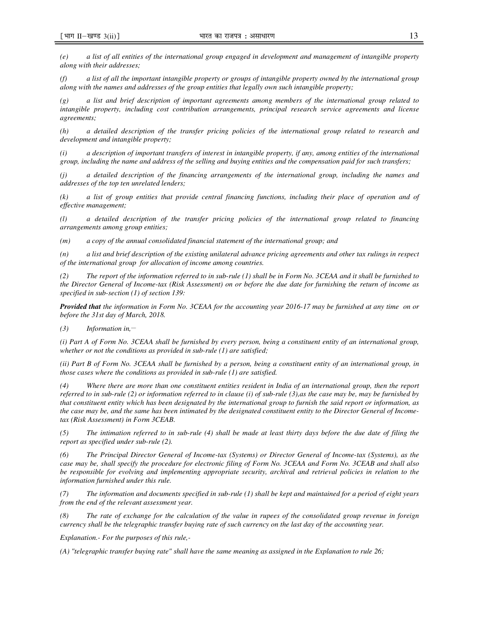*(e) a list of all entities of the international group engaged in development and management of intangible property along with their addresses;* 

*(f) a list of all the important intangible property or groups of intangible property owned by the international group along with the names and addresses of the group entities that legally own such intangible property;* 

*(g) a list and brief description of important agreements among members of the international group related to intangible property, including cost contribution arrangements, principal research service agreements and license agreements;* 

*(h) a detailed description of the transfer pricing policies of the international group related to research and development and intangible property;* 

*(i) a description of important transfers of interest in intangible property, if any, among entities of the international group, including the name and address of the selling and buying entities and the compensation paid for such transfers;* 

*(j) a detailed description of the financing arrangements of the international group, including the names and addresses of the top ten unrelated lenders;* 

*(k) a list of group entities that provide central financing functions, including their place of operation and of effective management;* 

*(l) a detailed description of the transfer pricing policies of the international group related to financing arrangements among group entities;* 

*(m) a copy of the annual consolidated financial statement of the international group; and* 

*(n) a list and brief description of the existing unilateral advance pricing agreements and other tax rulings in respect of the international group for allocation of income among countries.* 

*(2) The report of the information referred to in sub-rule (1) shall be in Form No. 3CEAA and it shall be furnished to the Director General of Income-tax (Risk Assessment) on or before the due date for furnishing the return of income as specified in sub-section (1) of section 139:* 

*Provided that the information in Form No. 3CEAA for the accounting year 2016-17 may be furnished at any time on or before the 31st day of March, 2018.* 

*(3) Information in,\_\_* 

*(i) Part A of Form No. 3CEAA shall be furnished by every person, being a constituent entity of an international group, whether or not the conditions as provided in sub-rule (1) are satisfied;* 

*(ii) Part B of Form No. 3CEAA shall be furnished by a person, being a constituent entity of an international group, in those cases where the conditions as provided in sub-rule (1) are satisfied.* 

*(4) Where there are more than one constituent entities resident in India of an international group, then the report referred to in sub-rule (2) or information referred to in clause (i) of sub-rule (3),as the case may be, may be furnished by that constituent entity which has been designated by the international group to furnish the said report or information, as the case may be, and the same has been intimated by the designated constituent entity to the Director General of Incometax (Risk Assessment) in Form 3CEAB.* 

*(5) The intimation referred to in sub-rule (4) shall be made at least thirty days before the due date of filing the report as specified under sub-rule (2).* 

*(6) The Principal Director General of Income-tax (Systems) or Director General of Income-tax (Systems), as the case may be, shall specify the procedure for electronic filing of Form No. 3CEAA and Form No. 3CEAB and shall also be responsible for evolving and implementing appropriate security, archival and retrieval policies in relation to the information furnished under this rule.* 

*(7) The information and documents specified in sub-rule (1) shall be kept and maintained for a period of eight years from the end of the relevant assessment year.* 

*(8) The rate of exchange for the calculation of the value in rupees of the consolidated group revenue in foreign currency shall be the telegraphic transfer buying rate of such currency on the last day of the accounting year.* 

*Explanation.- For the purposes of this rule,-* 

*(A) "telegraphic transfer buying rate" shall have the same meaning as assigned in the Explanation to rule 26;*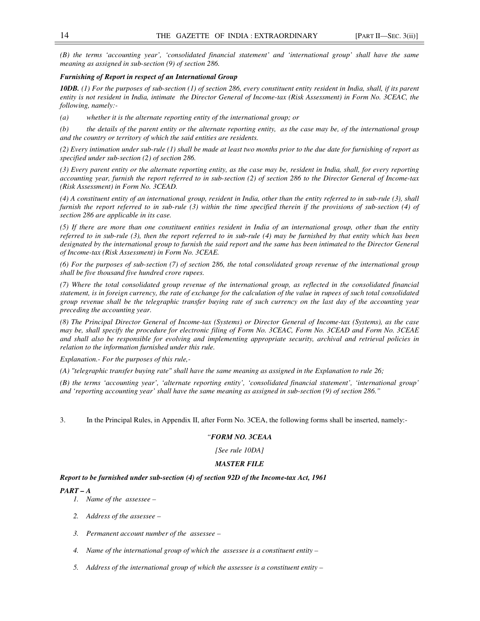*(B) the terms 'accounting year', 'consolidated financial statement' and 'international group' shall have the same meaning as assigned in sub-section (9) of section 286.* 

# *Furnishing of Report in respect of an International Group*

*10DB. (1) For the purposes of sub-section (1) of section 286, every constituent entity resident in India, shall, if its parent entity is not resident in India, intimate the Director General of Income-tax (Risk Assessment) in Form No. 3CEAC, the following, namely:-* 

*(a) whether it is the alternate reporting entity of the international group; or* 

*(b) the details of the parent entity or the alternate reporting entity, as the case may be, of the international group and the country or territory of which the said entities are residents.* 

*(2) Every intimation under sub-rule (1) shall be made at least two months prior to the due date for furnishing of report as specified under sub-section (2) of section 286.* 

*(3) Every parent entity or the alternate reporting entity, as the case may be, resident in India, shall, for every reporting accounting year, furnish the report referred to in sub-section (2) of section 286 to the Director General of Income-tax (Risk Assessment) in Form No. 3CEAD.* 

*(4) A constituent entity of an international group, resident in India, other than the entity referred to in sub-rule (3), shall furnish the report referred to in sub-rule (3) within the time specified therein if the provisions of sub-section (4) of section 286 are applicable in its case.* 

*(5) If there are more than one constituent entities resident in India of an international group, other than the entity referred to in sub-rule (3), then the report referred to in sub-rule (4) may be furnished by that entity which has been designated by the international group to furnish the said report and the same has been intimated to the Director General of Income-tax (Risk Assessment) in Form No. 3CEAE.* 

*(6) For the purposes of sub-section (7) of section 286, the total consolidated group revenue of the international group shall be five thousand five hundred crore rupees.* 

*(7) Where the total consolidated group revenue of the international group, as reflected in the consolidated financial statement, is in foreign currency, the rate of exchange for the calculation of the value in rupees of such total consolidated group revenue shall be the telegraphic transfer buying rate of such currency on the last day of the accounting year preceding the accounting year.* 

*(8) The Principal Director General of Income-tax (Systems) or Director General of Income-tax (Systems), as the case may be, shall specify the procedure for electronic filing of Form No. 3CEAC, Form No. 3CEAD and Form No. 3CEAE and shall also be responsible for evolving and implementing appropriate security, archival and retrieval policies in relation to the information furnished under this rule.* 

*Explanation.- For the purposes of this rule,-* 

*(A) "telegraphic transfer buying rate" shall have the same meaning as assigned in the Explanation to rule 26;* 

*(B) the terms 'accounting year', 'alternate reporting entity', 'consolidated financial statement', 'international group' and 'reporting accounting year' shall have the same meaning as assigned in sub-section (9) of section 286."* 

3. In the Principal Rules, in Appendix II, after Form No. 3CEA, the following forms shall be inserted, namely:-

### *"FORM NO. 3CEAA*

*[See rule 10DA]* 

# *MASTER FILE*

### *Report to be furnished under sub-section (4) of section 92D of the Income-tax Act, 1961*

#### *PART – A*

- *1. Name of the assessee*
- *2. Address of the assessee*
- *3. Permanent account number of the assessee*
- *4. Name of the international group of which the assessee is a constituent entity*
- *5. Address of the international group of which the assessee is a constituent entity*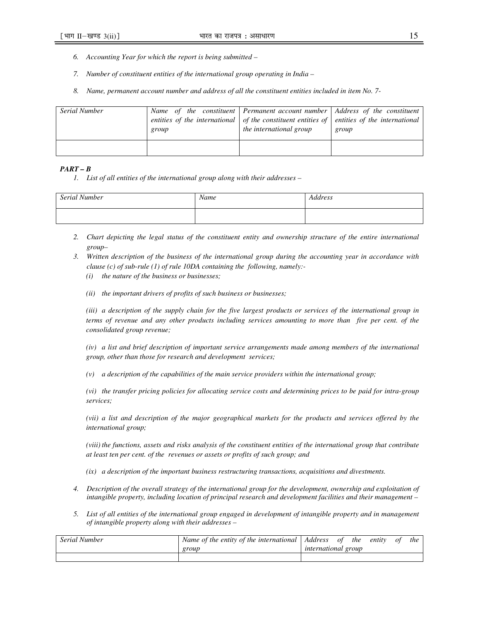- *6. Accounting Year for which the report is being submitted*
- *7. Number of constituent entities of the international group operating in India*
- *8. Name, permanent account number and address of all the constituent entities included in item No. 7-*

| Serial Number | group | Name of the constituent Permanent account number Address of the constituent<br>entities of the international $\vert$ of the constituent entities of $\vert$ entities of the international<br>the international group | group |
|---------------|-------|----------------------------------------------------------------------------------------------------------------------------------------------------------------------------------------------------------------------|-------|
|               |       |                                                                                                                                                                                                                      |       |

## *PART – B*

*1. List of all entities of the international group along with their addresses –* 

| Serial Number | Name | <b>Address</b> |
|---------------|------|----------------|
|               |      |                |

- *2. Chart depicting the legal status of the constituent entity and ownership structure of the entire international group–*
- *3. Written description of the business of the international group during the accounting year in accordance with clause (c) of sub-rule (1) of rule 10DA containing the following, namely:-* 
	- *(i) the nature of the business or businesses;*
	- *(ii) the important drivers of profits of such business or businesses;*

*(iii) a description of the supply chain for the five largest products or services of the international group in terms of revenue and any other products including services amounting to more than five per cent. of the consolidated group revenue;* 

*(iv) a list and brief description of important service arrangements made among members of the international group, other than those for research and development services;* 

*(v) a description of the capabilities of the main service providers within the international group;* 

*(vi) the transfer pricing policies for allocating service costs and determining prices to be paid for intra-group services;* 

*(vii) a list and description of the major geographical markets for the products and services offered by the international group;* 

*(viii) the functions, assets and risks analysis of the constituent entities of the international group that contribute at least ten per cent. of the revenues or assets or profits of such group; and* 

*(ix) a description of the important business restructuring transactions, acquisitions and divestments.* 

- *4. Description of the overall strategy of the international group for the development, ownership and exploitation of intangible property, including location of principal research and development facilities and their management –*
- *5. List of all entities of the international group engaged in development of intangible property and in management of intangible property along with their addresses –*

| <b>Serial Number</b> | Name of the entity of the international | Address of                 | <i>the</i> | entity | 0t | the |
|----------------------|-----------------------------------------|----------------------------|------------|--------|----|-----|
|                      | group                                   | <i>international</i> group |            |        |    |     |
|                      |                                         |                            |            |        |    |     |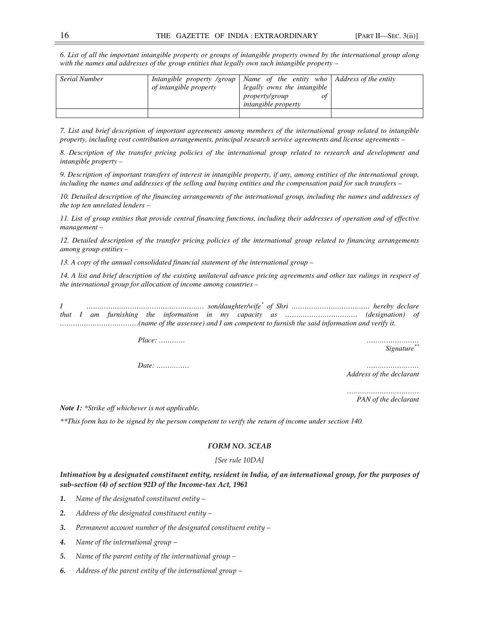*6. List of all the important intangible property or groups of intangible property owned by the international group along with the names and addresses of the group entities that legally own such intangible property –* 

| <b>Serial Number</b> | of intangible property | Intangible property /group   Name of the entity who   Address of the entity<br>legally owns the intangible<br>property/group<br>οt<br><i>intangible property</i> |  |
|----------------------|------------------------|------------------------------------------------------------------------------------------------------------------------------------------------------------------|--|
|                      |                        |                                                                                                                                                                  |  |

*7. List and brief description of important agreements among members of the international group related to intangible property, including cost contribution arrangements, principal research service agreements and license agreements –* 

*8. Description of the transfer pricing policies of the international group related to research and development and intangible property –* 

*9. Description of important transfers of interest in intangible property, if any, among entities of the international group, including the names and addresses of the selling and buying entities and the compensation paid for such transfers –* 

*10. Detailed description of the financing arrangements of the international group, including the names and addresses of the top ten unrelated lenders –* 

*11. List of group entities that provide central financing functions, including their addresses of operation and of effective management –* 

*12. Detailed description of the transfer pricing policies of the international group related to financing arrangements among group entities –* 

*13. A copy of the annual consolidated financial statement of the international group –* 

*14. A list and brief description of the existing unilateral advance pricing agreements and other tax rulings in respect of the international group for allocation of income among countries –* 

*I ……………………………………………… son/daughter/wife\* of Shri ……………………………… hereby declare that I am furnishing the information in my capacity as …………………………… (designation) of ………………………………(name of the assessee) and I am competent to furnish the said information and verify it.* 

*Place: ………… ……………………* 

*Signature\*\**

*Date: …………… ……………………* 

*Address of the declarant* 

*…………………………… PAN of the declarant* 

*Note 1: \*Strike off whichever is not applicable.* 

*\*\*This form has to be signed by the person competent to verify the return of income under section 140.*

# *FORM NO. 3CEAB*

# *[See rule 10DA]*

# *Intimation by a designated constituent entity, resident in India, of an international group, for the purposes of sub-section (4) of section 92D of the Income-tax Act, 1961*

*1. Name of the designated constituent entity –* 

*2. Address of the designated constituent entity –* 

*3. Permanent account number of the designated constituent entity –* 

*4. Name of the international group –* 

*5. Name of the parent entity of the international group –* 

*6. Address of the parent entity of the international group –*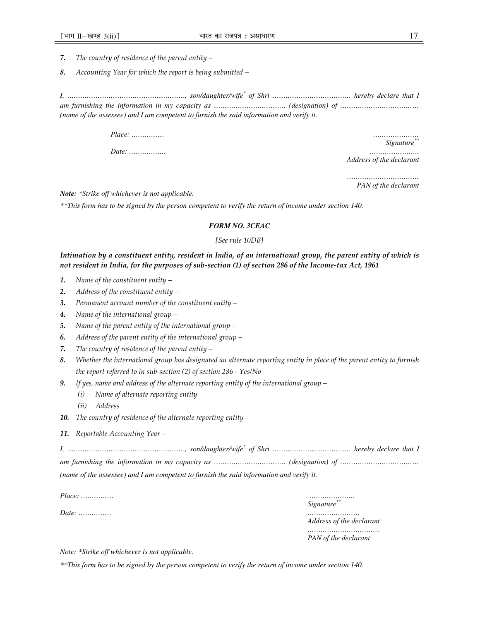*7. The country of residence of the parent entity –* 

*8. Accounting Year for which the report is being submitted –* 

*I, ………………………………………………, son/daughter/wife\* of Shri ……………………………… hereby declare that I am furnishing the information in my capacity as …………………………… (designation) of ……………………………… (name of the assessee) and I am competent to furnish the said information and verify it.* 

*Place: …………… …………………* 

*Date: …………….. …………………..* 

*Signature\*\**

*Address of the declarant* 

*…………………………… PAN of the declarant* 

*Note: \*Strike off whichever is not applicable.* 

*\*\*This form has to be signed by the person competent to verify the return of income under section 140.*

# *FORM NO. 3CEAC*

### *[See rule 10DB]*

# *Intimation by a constituent entity, resident in India, of an international group, the parent entity of which is not resident in India, for the purposes of sub-section (1) of section 286 of the Income-tax Act, 1961*

- *1. Name of the constituent entity*
- *2. Address of the constituent entity*
- *3. Permanent account number of the constituent entity*
- *4. Name of the international group*
- *5. Name of the parent entity of the international group*
- *6. Address of the parent entity of the international group*
- *7. The country of residence of the parent entity*
- *8. Whether the international group has designated an alternate reporting entity in place of the parent entity to furnish the report referred to in sub-section (2) of section 286 - Yes/No*
- *9. If yes, name and address of the alternate reporting entity of the international group* 
	- *(i) Name of alternate reporting entity*
	- *(ii) Address*
- *10. The country of residence of the alternate reporting entity*
- *11. Reportable Accounting Year*

| (name of the assessee) and I am competent to furnish the said information and verify it. |
|------------------------------------------------------------------------------------------|

*Place: …………… …………………* 

*Date: …………… ……………………* 

*Signature\*\**

*Address of the declarant* 

*……………………………* 

*PAN of the declarant* 

*Note: \*Strike off whichever is not applicable.* 

*\*\*This form has to be signed by the person competent to verify the return of income under section 140.*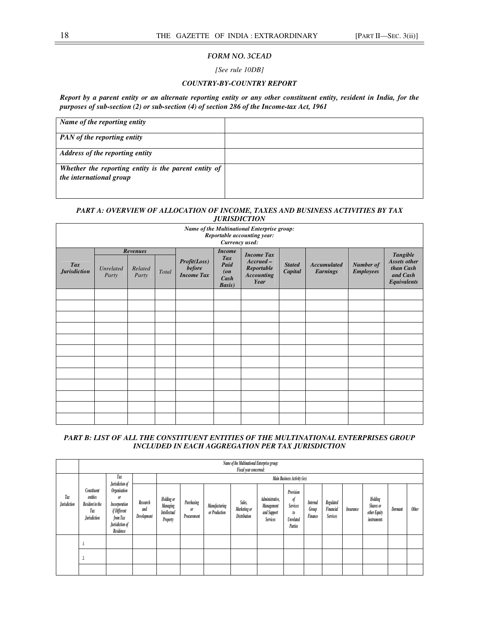# *FORM NO. 3CEAD*

*[See rule 10DB]* 

# *COUNTRY-BY-COUNTRY REPORT*

*Report by a parent entity or an alternate reporting entity or any other constituent entity, resident in India, for the purposes of sub-section (2) or sub-section (4) of section 286 of the Income-tax Act, 1961* 

| Name of the reporting entity                                                    |  |
|---------------------------------------------------------------------------------|--|
| <b>PAN</b> of the reporting entity                                              |  |
| Address of the reporting entity                                                 |  |
| Whether the reporting entity is the parent entity of<br>the international group |  |
|                                                                                 |  |

# *PART A: OVERVIEW OF ALLOCATION OF INCOME, TAXES AND BUSINESS ACTIVITIES BY TAX JURISDICTION*

| Name of the Multinational Enterprise group:<br>Reportable accounting year:<br>Currency used: |                    |                                     |       |                                                    |                                                                |                                                                             |                          |                                       |                               |                                                                         |  |
|----------------------------------------------------------------------------------------------|--------------------|-------------------------------------|-------|----------------------------------------------------|----------------------------------------------------------------|-----------------------------------------------------------------------------|--------------------------|---------------------------------------|-------------------------------|-------------------------------------------------------------------------|--|
| <b>Tax</b><br><b>Jurisdiction</b>                                                            | Unrelated<br>Party | <b>Revenues</b><br>Related<br>Party | Total | Profit(Loss)<br><b>before</b><br><b>Income Tax</b> | <b>Income</b><br>Tax<br>Paid<br>(0n)<br>Cash<br><b>Basis</b> ) | <b>Income Tax</b><br>$Accrued -$<br>Reportable<br><b>Accounting</b><br>Year | <b>Stated</b><br>Capital | <b>Accumulated</b><br><b>Earnings</b> | Number of<br><b>Employees</b> | <b>Tangible</b><br>Assets other<br>than Cash<br>and Cash<br>Equivalents |  |
|                                                                                              |                    |                                     |       |                                                    |                                                                |                                                                             |                          |                                       |                               |                                                                         |  |
|                                                                                              |                    |                                     |       |                                                    |                                                                |                                                                             |                          |                                       |                               |                                                                         |  |
|                                                                                              |                    |                                     |       |                                                    |                                                                |                                                                             |                          |                                       |                               |                                                                         |  |
|                                                                                              |                    |                                     |       |                                                    |                                                                |                                                                             |                          |                                       |                               |                                                                         |  |
|                                                                                              |                    |                                     |       |                                                    |                                                                |                                                                             |                          |                                       |                               |                                                                         |  |
|                                                                                              |                    |                                     |       |                                                    |                                                                |                                                                             |                          |                                       |                               |                                                                         |  |
|                                                                                              |                    |                                     |       |                                                    |                                                                |                                                                             |                          |                                       |                               |                                                                         |  |
|                                                                                              |                    |                                     |       |                                                    |                                                                |                                                                             |                          |                                       |                               |                                                                         |  |
|                                                                                              |                    |                                     |       |                                                    |                                                                |                                                                             |                          |                                       |                               |                                                                         |  |
|                                                                                              |                    |                                     |       |                                                    |                                                                |                                                                             |                          |                                       |                               |                                                                         |  |
|                                                                                              |                    |                                     |       |                                                    |                                                                |                                                                             |                          |                                       |                               |                                                                         |  |
|                                                                                              |                    |                                     |       |                                                    |                                                                |                                                                             |                          |                                       |                               |                                                                         |  |

# *PART B: LIST OF ALL THE CONSTITUENT ENTITIES OF THE MULTINATIONAL ENTERPRISES GROUP INCLUDED IN EACH AGGREGATION PER TAX JURISDICTION*

|                            | Name of the Multinational Enterprise group:<br>Fiscal year concerned:    |                                                                                                                    |                                |                                                                  |                                 |                                       |                                               |                                                                 |                                                                         |                              |                                    |           |                                                            |         |              |
|----------------------------|--------------------------------------------------------------------------|--------------------------------------------------------------------------------------------------------------------|--------------------------------|------------------------------------------------------------------|---------------------------------|---------------------------------------|-----------------------------------------------|-----------------------------------------------------------------|-------------------------------------------------------------------------|------------------------------|------------------------------------|-----------|------------------------------------------------------------|---------|--------------|
|                            |                                                                          | Tax<br>Jurisdiction of                                                                                             |                                |                                                                  |                                 |                                       |                                               |                                                                 | Main Business Activity (ies)                                            |                              |                                    |           |                                                            |         |              |
| Tax<br><b>Jurisdiction</b> | Constituent<br>entities<br>Resident in the<br>Tax<br><b>Jurisdiction</b> | <b>Organisation</b><br>0 <sup>r</sup><br>Incorporation<br>if Different<br>from Tax<br>Jurisdiction of<br>Residence | Research<br>and<br>Development | <b>Holding</b> or<br><b>Managing</b><br>Intellectual<br>Property | Purchasing<br>0ľ<br>Procurement | <b>Manufacturing</b><br>or Production | Sales,<br>Marketing or<br><b>Distribution</b> | Administrative,<br>Management<br>and Support<br><b>Services</b> | Provision<br>of<br><b>Services</b><br>to<br><b>Unrelated</b><br>Parties | Internal<br>Group<br>Finance | Regulated<br>Financial<br>Services | Insurance | Holding<br><b>Shares</b> or<br>other Equity<br>instruments | Dormant | <b>Other</b> |
|                            | 1.                                                                       |                                                                                                                    |                                |                                                                  |                                 |                                       |                                               |                                                                 |                                                                         |                              |                                    |           |                                                            |         |              |
|                            | А.                                                                       |                                                                                                                    |                                |                                                                  |                                 |                                       |                                               |                                                                 |                                                                         |                              |                                    |           |                                                            |         |              |
|                            |                                                                          |                                                                                                                    |                                |                                                                  |                                 |                                       |                                               |                                                                 |                                                                         |                              |                                    |           |                                                            |         |              |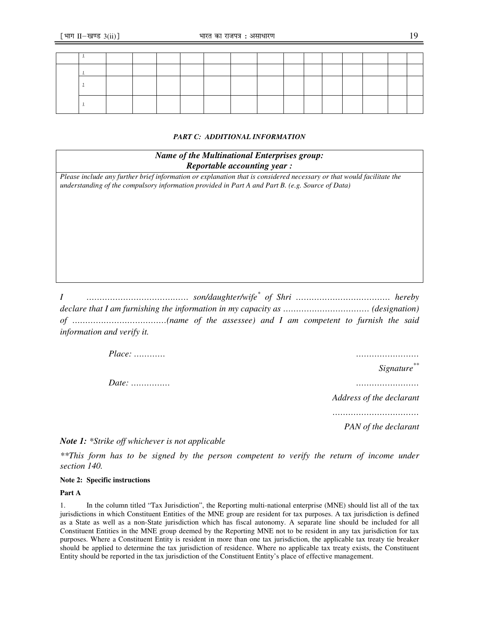# *PART C: ADDITIONAL INFORMATION*

| <b>Name of the Multinational Enterprises group:</b> |  |
|-----------------------------------------------------|--|
| <i>Reportable accounting year :</i>                 |  |

*Please include any further brief information or explanation that is considered necessary or that would facilitate the understanding of the compulsory information provided in Part A and Part B. (e.g. Source of Data)* 

*I ………………………………… son/daughter/wife\* of Shri ……………………………… hereby declare that I am furnishing the information in my capacity as …………………………… (designation) of ………………………………(name of the assessee) and I am competent to furnish the said information and verify it.* 

> *Place: ………… …………………… Date: …………… ……………………*

*Signature\*\**

*Address of the declarant* 

*……………………………* 

*PAN of the declarant* 

*Note 1: \*Strike off whichever is not applicable* 

*\*\*This form has to be signed by the person competent to verify the return of income under section 140.*

## **Note 2: Specific instructions**

# **Part A**

1. In the column titled "Tax Jurisdiction", the Reporting multi-national enterprise (MNE) should list all of the tax jurisdictions in which Constituent Entities of the MNE group are resident for tax purposes. A tax jurisdiction is defined as a State as well as a non-State jurisdiction which has fiscal autonomy. A separate line should be included for all Constituent Entities in the MNE group deemed by the Reporting MNE not to be resident in any tax jurisdiction for tax purposes. Where a Constituent Entity is resident in more than one tax jurisdiction, the applicable tax treaty tie breaker should be applied to determine the tax jurisdiction of residence. Where no applicable tax treaty exists, the Constituent Entity should be reported in the tax jurisdiction of the Constituent Entity's place of effective management.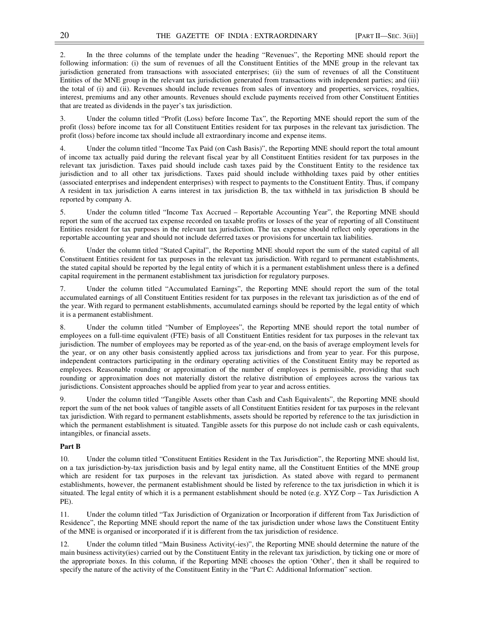2. In the three columns of the template under the heading "Revenues", the Reporting MNE should report the following information: (i) the sum of revenues of all the Constituent Entities of the MNE group in the relevant tax jurisdiction generated from transactions with associated enterprises; (ii) the sum of revenues of all the Constituent Entities of the MNE group in the relevant tax jurisdiction generated from transactions with independent parties; and (iii) the total of (i) and (ii). Revenues should include revenues from sales of inventory and properties, services, royalties, interest, premiums and any other amounts. Revenues should exclude payments received from other Constituent Entities that are treated as dividends in the payer's tax jurisdiction.

3. Under the column titled "Profit (Loss) before Income Tax", the Reporting MNE should report the sum of the profit (loss) before income tax for all Constituent Entities resident for tax purposes in the relevant tax jurisdiction. The profit (loss) before income tax should include all extraordinary income and expense items.

Under the column titled "Income Tax Paid (on Cash Basis)", the Reporting MNE should report the total amount of income tax actually paid during the relevant fiscal year by all Constituent Entities resident for tax purposes in the relevant tax jurisdiction. Taxes paid should include cash taxes paid by the Constituent Entity to the residence tax jurisdiction and to all other tax jurisdictions. Taxes paid should include withholding taxes paid by other entities (associated enterprises and independent enterprises) with respect to payments to the Constituent Entity. Thus, if company A resident in tax jurisdiction A earns interest in tax jurisdiction B, the tax withheld in tax jurisdiction B should be reported by company A.

5. Under the column titled "Income Tax Accrued – Reportable Accounting Year", the Reporting MNE should report the sum of the accrued tax expense recorded on taxable profits or losses of the year of reporting of all Constituent Entities resident for tax purposes in the relevant tax jurisdiction. The tax expense should reflect only operations in the reportable accounting year and should not include deferred taxes or provisions for uncertain tax liabilities.

6. Under the column titled "Stated Capital", the Reporting MNE should report the sum of the stated capital of all Constituent Entities resident for tax purposes in the relevant tax jurisdiction. With regard to permanent establishments, the stated capital should be reported by the legal entity of which it is a permanent establishment unless there is a defined capital requirement in the permanent establishment tax jurisdiction for regulatory purposes.

7. Under the column titled "Accumulated Earnings", the Reporting MNE should report the sum of the total accumulated earnings of all Constituent Entities resident for tax purposes in the relevant tax jurisdiction as of the end of the year. With regard to permanent establishments, accumulated earnings should be reported by the legal entity of which it is a permanent establishment.

Under the column titled "Number of Employees", the Reporting MNE should report the total number of employees on a full-time equivalent (FTE) basis of all Constituent Entities resident for tax purposes in the relevant tax jurisdiction. The number of employees may be reported as of the year-end, on the basis of average employment levels for the year, or on any other basis consistently applied across tax jurisdictions and from year to year. For this purpose, independent contractors participating in the ordinary operating activities of the Constituent Entity may be reported as employees. Reasonable rounding or approximation of the number of employees is permissible, providing that such rounding or approximation does not materially distort the relative distribution of employees across the various tax jurisdictions. Consistent approaches should be applied from year to year and across entities.

9. Under the column titled "Tangible Assets other than Cash and Cash Equivalents", the Reporting MNE should report the sum of the net book values of tangible assets of all Constituent Entities resident for tax purposes in the relevant tax jurisdiction. With regard to permanent establishments, assets should be reported by reference to the tax jurisdiction in which the permanent establishment is situated. Tangible assets for this purpose do not include cash or cash equivalents, intangibles, or financial assets.

## **Part B**

10. Under the column titled "Constituent Entities Resident in the Tax Jurisdiction", the Reporting MNE should list, on a tax jurisdiction-by-tax jurisdiction basis and by legal entity name, all the Constituent Entities of the MNE group which are resident for tax purposes in the relevant tax jurisdiction. As stated above with regard to permanent establishments, however, the permanent establishment should be listed by reference to the tax jurisdiction in which it is situated. The legal entity of which it is a permanent establishment should be noted (e.g. XYZ Corp – Tax Jurisdiction A PE).

11. Under the column titled "Tax Jurisdiction of Organization or Incorporation if different from Tax Jurisdiction of Residence", the Reporting MNE should report the name of the tax jurisdiction under whose laws the Constituent Entity of the MNE is organised or incorporated if it is different from the tax jurisdiction of residence.

12. Under the column titled "Main Business Activity(-ies)", the Reporting MNE should determine the nature of the main business activity(ies) carried out by the Constituent Entity in the relevant tax jurisdiction, by ticking one or more of the appropriate boxes. In this column, if the Reporting MNE chooses the option 'Other', then it shall be required to specify the nature of the activity of the Constituent Entity in the "Part C: Additional Information" section.